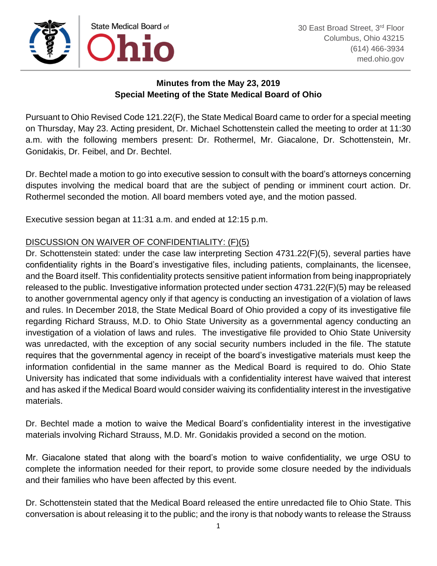

## **Minutes from the May 23, 2019 Special Meeting of the State Medical Board of Ohio**

Pursuant to Ohio Revised Code 121.22(F), the State Medical Board came to order for a special meeting on Thursday, May 23. Acting president, Dr. Michael Schottenstein called the meeting to order at 11:30 a.m. with the following members present: Dr. Rothermel, Mr. Giacalone, Dr. Schottenstein, Mr. Gonidakis, Dr. Feibel, and Dr. Bechtel.

Dr. Bechtel made a motion to go into executive session to consult with the board's attorneys concerning disputes involving the medical board that are the subject of pending or imminent court action. Dr. Rothermel seconded the motion. All board members voted aye, and the motion passed.

Executive session began at 11:31 a.m. and ended at 12:15 p.m.

## DISCUSSION ON WAIVER OF CONFIDENTIALITY: (F)(5)

Dr. Schottenstein stated: under the case law interpreting Section 4731.22(F)(5), several parties have confidentiality rights in the Board's investigative files, including patients, complainants, the licensee, and the Board itself. This confidentiality protects sensitive patient information from being inappropriately released to the public. Investigative information protected under section 4731.22(F)(5) may be released to another governmental agency only if that agency is conducting an investigation of a violation of laws and rules. In December 2018, the State Medical Board of Ohio provided a copy of its investigative file regarding Richard Strauss, M.D. to Ohio State University as a governmental agency conducting an investigation of a violation of laws and rules. The investigative file provided to Ohio State University was unredacted, with the exception of any social security numbers included in the file. The statute requires that the governmental agency in receipt of the board's investigative materials must keep the information confidential in the same manner as the Medical Board is required to do. Ohio State University has indicated that some individuals with a confidentiality interest have waived that interest and has asked if the Medical Board would consider waiving its confidentiality interest in the investigative materials.

Dr. Bechtel made a motion to waive the Medical Board's confidentiality interest in the investigative materials involving Richard Strauss, M.D. Mr. Gonidakis provided a second on the motion.

Mr. Giacalone stated that along with the board's motion to waive confidentiality, we urge OSU to complete the information needed for their report, to provide some closure needed by the individuals and their families who have been affected by this event.

Dr. Schottenstein stated that the Medical Board released the entire unredacted file to Ohio State. This conversation is about releasing it to the public; and the irony is that nobody wants to release the Strauss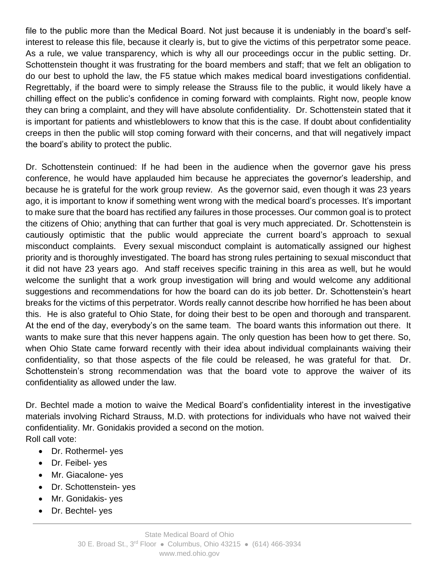file to the public more than the Medical Board. Not just because it is undeniably in the board's selfinterest to release this file, because it clearly is, but to give the victims of this perpetrator some peace. As a rule, we value transparency, which is why all our proceedings occur in the public setting. Dr. Schottenstein thought it was frustrating for the board members and staff; that we felt an obligation to do our best to uphold the law, the F5 statue which makes medical board investigations confidential. Regrettably, if the board were to simply release the Strauss file to the public, it would likely have a chilling effect on the public's confidence in coming forward with complaints. Right now, people know they can bring a complaint, and they will have absolute confidentiality. Dr. Schottenstein stated that it is important for patients and whistleblowers to know that this is the case. If doubt about confidentiality creeps in then the public will stop coming forward with their concerns, and that will negatively impact the board's ability to protect the public.

Dr. Schottenstein continued: If he had been in the audience when the governor gave his press conference, he would have applauded him because he appreciates the governor's leadership, and because he is grateful for the work group review. As the governor said, even though it was 23 years ago, it is important to know if something went wrong with the medical board's processes. It's important to make sure that the board has rectified any failures in those processes. Our common goal is to protect the citizens of Ohio; anything that can further that goal is very much appreciated. Dr. Schottenstein is cautiously optimistic that the public would appreciate the current board's approach to sexual misconduct complaints. Every sexual misconduct complaint is automatically assigned our highest priority and is thoroughly investigated. The board has strong rules pertaining to sexual misconduct that it did not have 23 years ago. And staff receives specific training in this area as well, but he would welcome the sunlight that a work group investigation will bring and would welcome any additional suggestions and recommendations for how the board can do its job better. Dr. Schottenstein's heart breaks for the victims of this perpetrator. Words really cannot describe how horrified he has been about this. He is also grateful to Ohio State, for doing their best to be open and thorough and transparent. At the end of the day, everybody's on the same team. The board wants this information out there. It wants to make sure that this never happens again. The only question has been how to get there. So, when Ohio State came forward recently with their idea about individual complainants waiving their confidentiality, so that those aspects of the file could be released, he was grateful for that. Dr. Schottenstein's strong recommendation was that the board vote to approve the waiver of its confidentiality as allowed under the law.

Dr. Bechtel made a motion to waive the Medical Board's confidentiality interest in the investigative materials involving Richard Strauss, M.D. with protections for individuals who have not waived their confidentiality. Mr. Gonidakis provided a second on the motion. Roll call vote:

- Dr. Rothermel- yes
- Dr. Feibel- yes
- Mr. Giacalone- yes
- Dr. Schottenstein- yes
- Mr. Gonidakis- yes
- Dr. Bechtel- yes